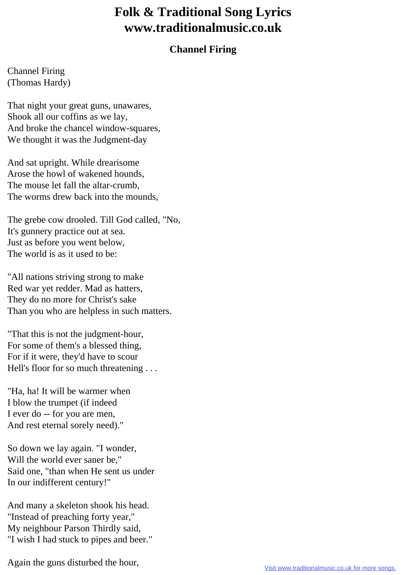## **Folk & Traditional Song Lyrics www.traditionalmusic.co.uk**

## **Channel Firing**

Channel Firing (Thomas Hardy)

That night your great guns, unawares, Shook all our coffins as we lay, And broke the chancel window-squares, We thought it was the Judgment-day

And sat upright. While drearisome Arose the howl of wakened hounds, The mouse let fall the altar-crumb, The worms drew back into the mounds,

The grebe cow drooled. Till God called, "No, It's gunnery practice out at sea. Just as before you went below, The world is as it used to be:

"All nations striving strong to make Red war yet redder. Mad as hatters, They do no more for Christ's sake Than you who are helpless in such matters.

"That this is not the judgment-hour, For some of them's a blessed thing, For if it were, they'd have to scour Hell's floor for so much threatening ...

"Ha, ha! It will be warmer when I blow the trumpet (if indeed I ever do -- for you are men, And rest eternal sorely need)."

So down we lay again. "I wonder, Will the world ever saner be," Said one, "than when He sent us under In our indifferent century!"

And many a skeleton shook his head. "Instead of preaching forty year," My neighbour Parson Thirdly said, "I wish I had stuck to pipes and beer."

Again the guns disturbed the hour,